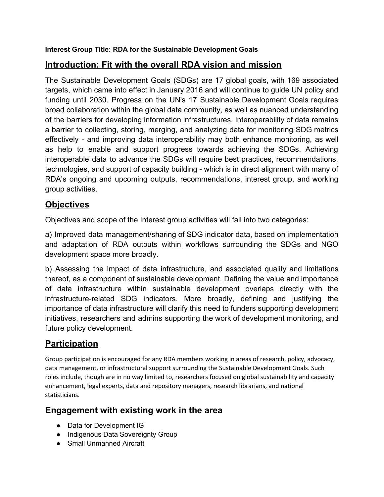#### **Interest Group Title: RDA for the Sustainable Development Goals**

## **Introduction: Fit with the overall RDA vision and mission**

The Sustainable Development Goals (SDGs) are 17 global goals, with 169 associated targets, which came into effect in January 2016 and will continue to guide UN policy and funding until 2030. Progress on the UN's 17 Sustainable Development Goals requires broad collaboration within the global data community, as well as nuanced understanding of the barriers for developing information infrastructures. Interoperability of data remains a barrier to collecting, storing, merging, and analyzing data for monitoring SDG metrics effectively - and improving data interoperability may both enhance monitoring, as well as help to enable and support progress towards achieving the SDGs. Achieving interoperable data to advance the SDGs will require best practices, recommendations, technologies, and support of capacity building - which is in direct alignment with many of RDA's ongoing and upcoming outputs, recommendations, interest group, and working group activities.

## **Objectives**

Objectives and scope of the Interest group activities will fall into two categories:

a) Improved data management/sharing of SDG indicator data, based on implementation and adaptation of RDA outputs within workflows surrounding the SDGs and NGO development space more broadly.

b) Assessing the impact of data infrastructure, and associated quality and limitations thereof, as a component of sustainable development. Defining the value and importance of data infrastructure within sustainable development overlaps directly with the infrastructure-related SDG indicators. More broadly, defining and justifying the importance of data infrastructure will clarify this need to funders supporting development initiatives, researchers and admins supporting the work of development monitoring, and future policy development.

# **Participation**

Group participation is encouraged for any RDA members working in areas of research, policy, advocacy, data management, or infrastructural support surrounding the Sustainable Development Goals. Such roles include, though are in no way limited to, researchers focused on global sustainability and capacity enhancement, legal experts, data and repository managers, research librarians, and national statisticians.

### **Engagement with existing work in the area**

- Data for Development IG
- Indigenous Data Sovereignty Group
- Small Unmanned Aircraft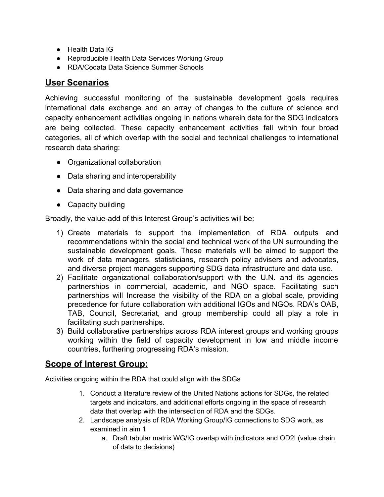- Health Data IG
- Reproducible Health Data Services Working Group
- RDA/Codata Data Science Summer Schools

#### **User Scenarios**

Achieving successful monitoring of the sustainable development goals requires international data exchange and an array of changes to the culture of science and capacity enhancement activities ongoing in nations wherein data for the SDG indicators are being collected. These capacity enhancement activities fall within four broad categories, all of which overlap with the social and technical challenges to international research data sharing:

- Organizational collaboration
- Data sharing and interoperability
- Data sharing and data governance
- Capacity building

Broadly, the value-add of this Interest Group's activities will be:

- 1) Create materials to support the implementation of RDA outputs and recommendations within the social and technical work of the UN surrounding the sustainable development goals. These materials will be aimed to support the work of data managers, statisticians, research policy advisers and advocates, and diverse project managers supporting SDG data infrastructure and data use.
- 2) Facilitate organizational collaboration/support with the U.N. and its agencies partnerships in commercial, academic, and NGO space. Facilitating such partnerships will Increase the visibility of the RDA on a global scale, providing precedence for future collaboration with additional IGOs and NGOs. RDA's OAB, TAB, Council, Secretariat, and group membership could all play a role in facilitating such partnerships.
- 3) Build collaborative partnerships across RDA interest groups and working groups working within the field of capacity development in low and middle income countries, furthering progressing RDA's mission.

### **Scope of Interest Group:**

Activities ongoing within the RDA that could align with the SDGs

- 1. Conduct a literature review of the United Nations actions for SDGs, the related targets and indicators, and additional efforts ongoing in the space of research data that overlap with the intersection of RDA and the SDGs.
- 2. Landscape analysis of RDA Working Group/IG connections to SDG work, as examined in aim 1
	- a. Draft tabular matrix WG/IG overlap with indicators and OD2I (value chain of data to decisions)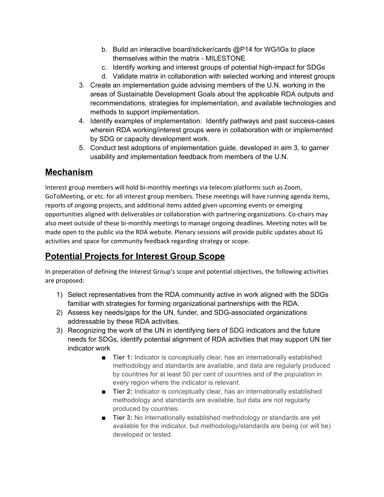- b. Build an interactive board/sticker/cards @P14 for WG/IGs to place themselves within the matrix - MILESTONE
- c. Identify working and interest groups of potential high-impact for SDGs
- d. Validate matrix in collaboration with selected working and interest groups
- 3. Create an implementation guide advising members of the U.N. working in the areas of Sustainable Development Goals about the applicable RDA outputs and recommendations, strategies for implementation, and available technologies and methods to support implementation.
- 4. Identify examples of implementation: Identify pathways and past success-cases wherein RDA working/interest groups were in collaboration with or implemented by SDG or capacity development work.
- 5. Conduct test adoptions of implementation guide, developed in aim 3, to garner usability and implementation feedback from members of the U.N.

#### **Mechanism**

Interest group members will hold bi-monthly meetings via telecom platforms such as Zoom, GoToMeeting, or etc. for all interest group members. These meetings will have running agenda items, reports of ongoing projects, and additional items added given upcoming events or emerging opportunities aligned with deliverables or collaboration with partnering organizations. Co-chairs may also meet outside of these bi-monthly meetings to manage ongoing deadlines. Meeting notes will be made open to the public via the RDA website. Plenary sessions will provide public updates about IG activities and space for community feedback regarding strategy or scope.

# **Potential Projects for Interest Group Scope**

In preperation of defining the Interest Group's scope and potential objectives, the following activities are proposed:

- 1) Select representatives from the RDA community active in work aligned with the SDGs familiar with strategies for forming organizational partnerships with the RDA.
- 2) Assess key needs/gaps for the UN, funder, and SDG-associated organizations addressable by these RDA activities.
- 3) Recognizing the work of the UN in identifying tiers of SDG indicators and the future needs for SDGs, identify potential alignment of RDA activities that may support UN tier indicator work
	- **Tier 1:** Indicator is conceptually clear, has an internationally established methodology and standards are available, and data are regularly produced by countries for at least 50 per cent of countries and of the population in every region where the indicator is relevant.
	- **Tier 2:** Indicator is conceptually clear, has an internationally established methodology and standards are available, but data are not regularly produced by countries.
	- **Tier 3:** No internationally established methodology or standards are yet available for the indicator, but methodology/standards are being (or will be) developed or tested.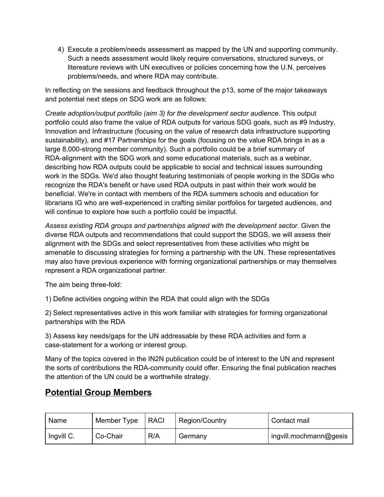4) Execute a problem/needs assessment as mapped by the UN and supporting community. Such a needs assessment would likely require conversations, structured surveys, or litereature reviews with UN executives or policies concerning how the U.N. perceives problems/needs, and where RDA may contribute.

In reflecting on the sessions and feedback throughout the p13, some of the major takeaways and potential next steps on SDG work are as follows:

*Create adoption/output portfolio (aim 3) for the development sector audience.* This output portfolio could also frame the value of RDA outputs for various SDG goals, such as #9 Industry, Innovation and Infrastructure (focusing on the value of research data infrastructure supporting sustainability), and #17 Partnerships for the goals (focusing on the value RDA brings in as a large 8,000-strong member community). Such a portfolio could be a brief summary of RDA-alignment with the SDG work and some educational materials, such as a webinar, describing how RDA outputs could be applicable to social and technical issues surrounding work in the SDGs. We'd also thought featuring testimonials of people working in the SDGs who recognize the RDA's benefit or have used RDA outputs in past within their work would be beneficial. We're in contact with members of the RDA summers schools and education for librarians IG who are well-experienced in crafting similar portfolios for targeted audiences, and will continue to explore how such a portfolio could be impactful.

*Assess existing RDA groups and partnerships aligned with the development sector.* Given the diverse RDA outputs and recommendations that could support the SDGS, we will assess their alignment with the SDGs and select representatives from these activities who might be amenable to discussing strategies for forming a partnership with the UN. These representatives may also have previous experience with forming organizational partnerships or may themselves represent a RDA organizational partner.

The aim being three-fold:

1) Define activities ongoing within the RDA that could align with the SDGs

2) Select representatives active in this work familiar with strategies for forming organizational partnerships with the RDA

3) Assess key needs/gaps for the UN addressable by these RDA activities and form a case-statement for a working or interest group.

Many of the topics covered in the IN2N publication could be of interest to the UN and represent the sorts of contributions the RDA-community could offer. Ensuring the final publication reaches the attention of the UN could be a worthwhile strategy.

## **Potential Group Members**

| Name       | Member Type | <b>RACI</b> | Region/Country | Contact mail           |
|------------|-------------|-------------|----------------|------------------------|
| Ingvill C. | Co-Chair    | R/A         | Germany        | ingvill.mochmann@gesis |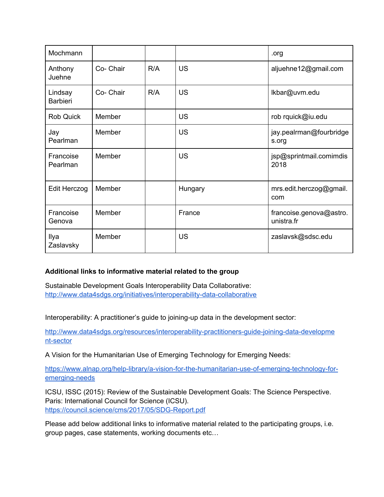| Mochmann                   |           |     |           | .org                                  |
|----------------------------|-----------|-----|-----------|---------------------------------------|
| Anthony<br>Juehne          | Co- Chair | R/A | <b>US</b> | aljuehne12@gmail.com                  |
| Lindsay<br><b>Barbieri</b> | Co- Chair | R/A | <b>US</b> | Ikbar@uvm.edu                         |
| <b>Rob Quick</b>           | Member    |     | <b>US</b> | rob rquick@iu.edu                     |
| Jay<br>Pearlman            | Member    |     | <b>US</b> | jay.pealrman@fourbridge<br>s.org      |
| Francoise<br>Pearlman      | Member    |     | <b>US</b> | jsp@sprintmail.comimdis<br>2018       |
| Edit Herczog               | Member    |     | Hungary   | mrs.edit.herczog@gmail.<br>com        |
| Francoise<br>Genova        | Member    |     | France    | francoise.genova@astro.<br>unistra.fr |
| Ilya<br>Zaslavsky          | Member    |     | <b>US</b> | zaslavsk@sdsc.edu                     |

#### **Additional links to informative material related to the group**

Sustainable Development Goals Interoperability Data Collaborative: <http://www.data4sdgs.org/initiatives/interoperability-data-collaborative>

Interoperability: A practitioner's guide to joining-up data in the development sector:

[http://www.data4sdgs.org/resources/interoperability-practitioners-guide-joining-data-developme](http://www.data4sdgs.org/resources/interoperability-practitioners-guide-joining-data-development-sector) [nt-sector](http://www.data4sdgs.org/resources/interoperability-practitioners-guide-joining-data-development-sector)

A Vision for the Humanitarian Use of Emerging Technology for Emerging Needs:

[https://www.alnap.org/help-library/a-vision-for-the-humanitarian-use-of-emerging-technology-for](https://www.alnap.org/help-library/a-vision-for-the-humanitarian-use-of-emerging-technology-for-emerging-needs)[emerging-needs](https://www.alnap.org/help-library/a-vision-for-the-humanitarian-use-of-emerging-technology-for-emerging-needs)

ICSU, ISSC (2015): Review of the Sustainable Development Goals: The Science Perspective. Paris: International Council for Science (ICSU). <https://council.science/cms/2017/05/SDG-Report.pdf>

Please add below additional links to informative material related to the participating groups, i.e. group pages, case statements, working documents etc…